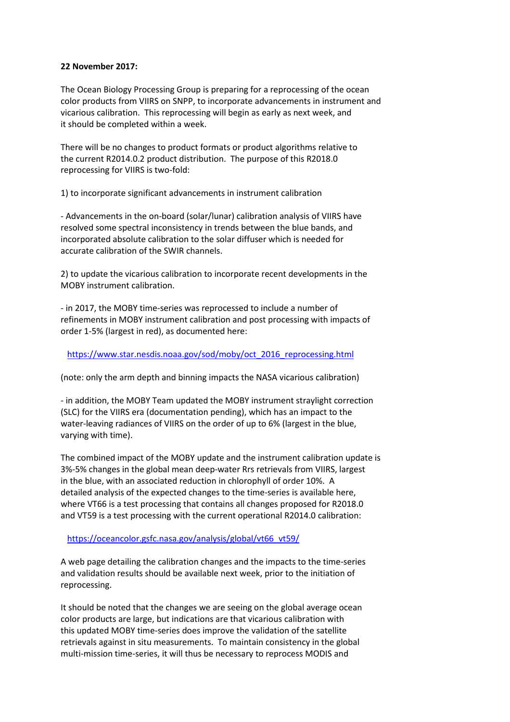## **22 November 2017:**

The Ocean Biology Processing Group is preparing for a reprocessing of the ocean color products from VIIRS on SNPP, to incorporate advancements in instrument and vicarious calibration. This reprocessing will begin as early as next week, and it should be completed within a week.

There will be no changes to product formats or product algorithms relative to the current R2014.0.2 product distribution. The purpose of this R2018.0 reprocessing for VIIRS is two-fold:

1) to incorporate significant advancements in instrument calibration

- Advancements in the on-board (solar/lunar) calibration analysis of VIIRS have resolved some spectral inconsistency in trends between the blue bands, and incorporated absolute calibration to the solar diffuser which is needed for accurate calibration of the SWIR channels.

2) to update the vicarious calibration to incorporate recent developments in the MOBY instrument calibration.

- in 2017, the MOBY time-series was reprocessed to include a number of refinements in MOBY instrument calibration and post processing with impacts of order 1-5% (largest in red), as documented here:

## https://www.star.nesdis.noaa.gov/sod/moby/oct\_2016\_reprocessing.html

(note: only the arm depth and binning impacts the NASA vicarious calibration)

- in addition, the MOBY Team updated the MOBY instrument straylight correction (SLC) for the VIIRS era (documentation pending), which has an impact to the water-leaving radiances of VIIRS on the order of up to 6% (largest in the blue, varying with time).

The combined impact of the MOBY update and the instrument calibration update is 3%-5% changes in the global mean deep-water Rrs retrievals from VIIRS, largest in the blue, with an associated reduction in chlorophyll of order 10%. A detailed analysis of the expected changes to the time-series is available here, where VT66 is a test processing that contains all changes proposed for R2018.0 and VT59 is a test processing with the current operational R2014.0 calibration:

## https://oceancolor.gsfc.nasa.gov/analysis/global/vt66\_vt59/

A web page detailing the calibration changes and the impacts to the time-series and validation results should be available next week, prior to the initiation of reprocessing.

It should be noted that the changes we are seeing on the global average ocean color products are large, but indications are that vicarious calibration with this updated MOBY time-series does improve the validation of the satellite retrievals against in situ measurements. To maintain consistency in the global multi-mission time-series, it will thus be necessary to reprocess MODIS and